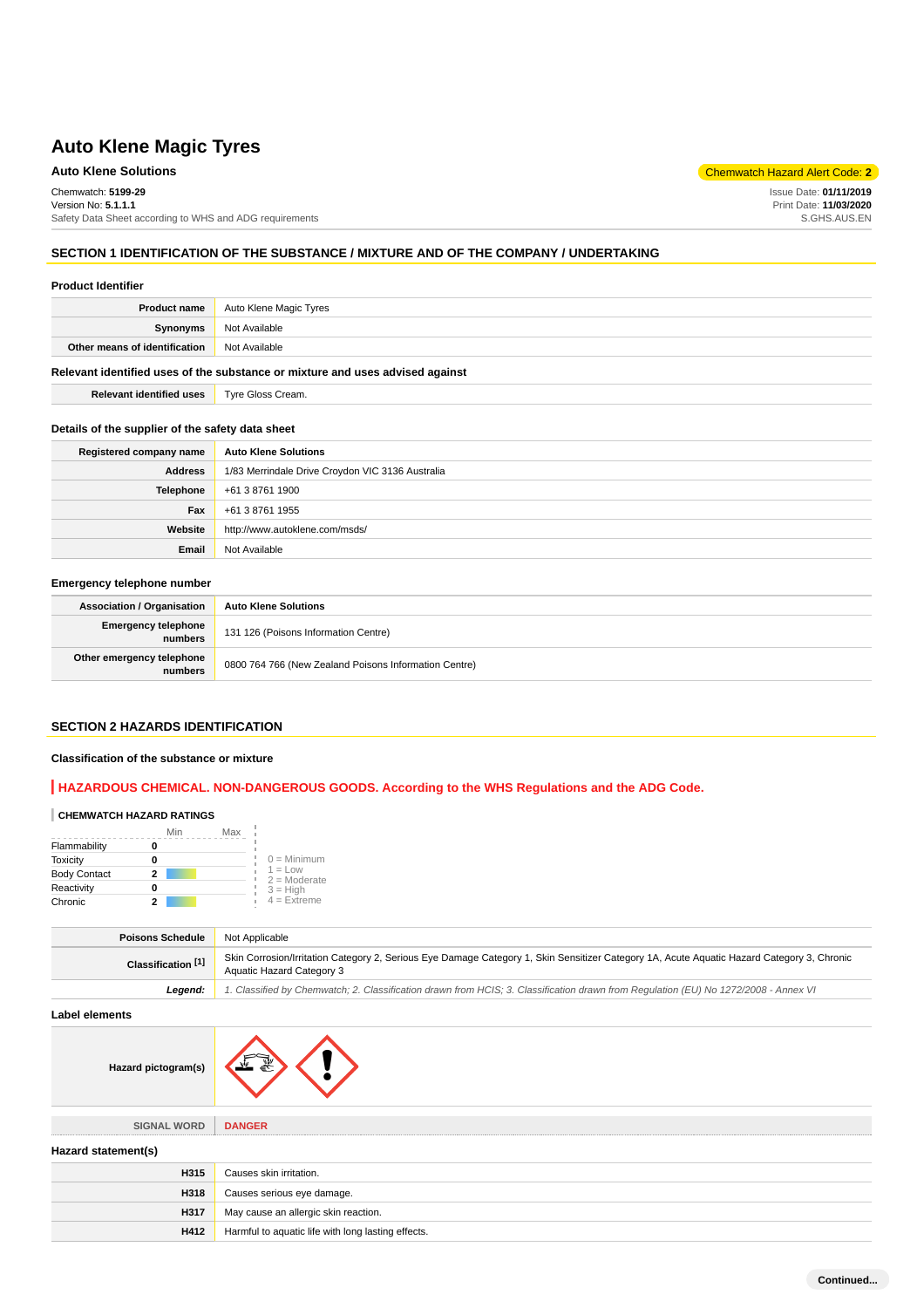# **Auto Klene Solutions** Chemwatch Hazard Alert Code: **2**

Chemwatch: **5199-29**

Version No: **5.1.1.1** Safety Data Sheet according to WHS and ADG requirements

#### **SECTION 1 IDENTIFICATION OF THE SUBSTANCE / MIXTURE AND OF THE COMPANY / UNDERTAKING**

#### **Product Identifier**

| <b>Product name</b>                                                           | Auto Klene Magic Tyres |
|-------------------------------------------------------------------------------|------------------------|
| Synonyms                                                                      | Not Available          |
| Other means of identification                                                 | Not Available          |
| Relevant identified uses of the substance or mixture and uses advised against |                        |

**Relevant identified uses Tyre Gloss Cream.** 

# **Details of the supplier of the safety data sheet**

| Registered company name | <b>Auto Klene Solutions</b>                      |
|-------------------------|--------------------------------------------------|
| <b>Address</b>          | 1/83 Merrindale Drive Croydon VIC 3136 Australia |
| Telephone               | +61 3 8761 1900                                  |
| Fax                     | +61 3 8761 1955                                  |
| Website                 | http://www.autoklene.com/msds/                   |
| Email                   | Not Available                                    |

#### **Emergency telephone number**

| <b>Association / Organisation</b>    | <b>Auto Klene Solutions</b>                           |
|--------------------------------------|-------------------------------------------------------|
| Emergency telephone<br>numbers       | 131 126 (Poisons Information Centre)                  |
| Other emergency telephone<br>numbers | 0800 764 766 (New Zealand Poisons Information Centre) |

# **SECTION 2 HAZARDS IDENTIFICATION**

#### **Classification of the substance or mixture**

# **HAZARDOUS CHEMICAL. NON-DANGEROUS GOODS. According to the WHS Regulations and the ADG Code.**

#### **CHEMWATCH HAZARD RATINGS**

|                     | Min | Max |                             |
|---------------------|-----|-----|-----------------------------|
| Flammability        |     |     |                             |
| Toxicity            |     |     | $0 =$ Minimum               |
| <b>Body Contact</b> | 2   |     | $1 = Low$<br>$2 =$ Moderate |
| Reactivity          |     |     | $3 = High$                  |
| Chronic             |     |     | $4$ = Extreme               |

| Poisons Schedule              | Not Applicable                                                                                                                                                          |
|-------------------------------|-------------------------------------------------------------------------------------------------------------------------------------------------------------------------|
| Classification <sup>[1]</sup> | Skin Corrosion/Irritation Category 2, Serious Eye Damage Category 1, Skin Sensitizer Category 1A, Acute Aquatic Hazard Category 3, Chronic<br>Aquatic Hazard Category 3 |
| Leaend:                       | 1. Classified by Chemwatch; 2. Classification drawn from HCIS; 3. Classification drawn from Requlation (EU) No 1272/2008 - Annex VI                                     |

**Label elements**

**Hazard pictogram(s)**

| pictogram(s) |  |  |
|--------------|--|--|
|--------------|--|--|

**SIGNAL WORD DANGER Hazard statement(s) H315** Causes skin irritation. **H318** Causes serious eye damage. **H317** May cause an allergic skin reaction. **H412** Harmful to aquatic life with long lasting effects.

Issue Date: **01/11/2019** Print Date: **11/03/2020** S.GHS.AUS.EN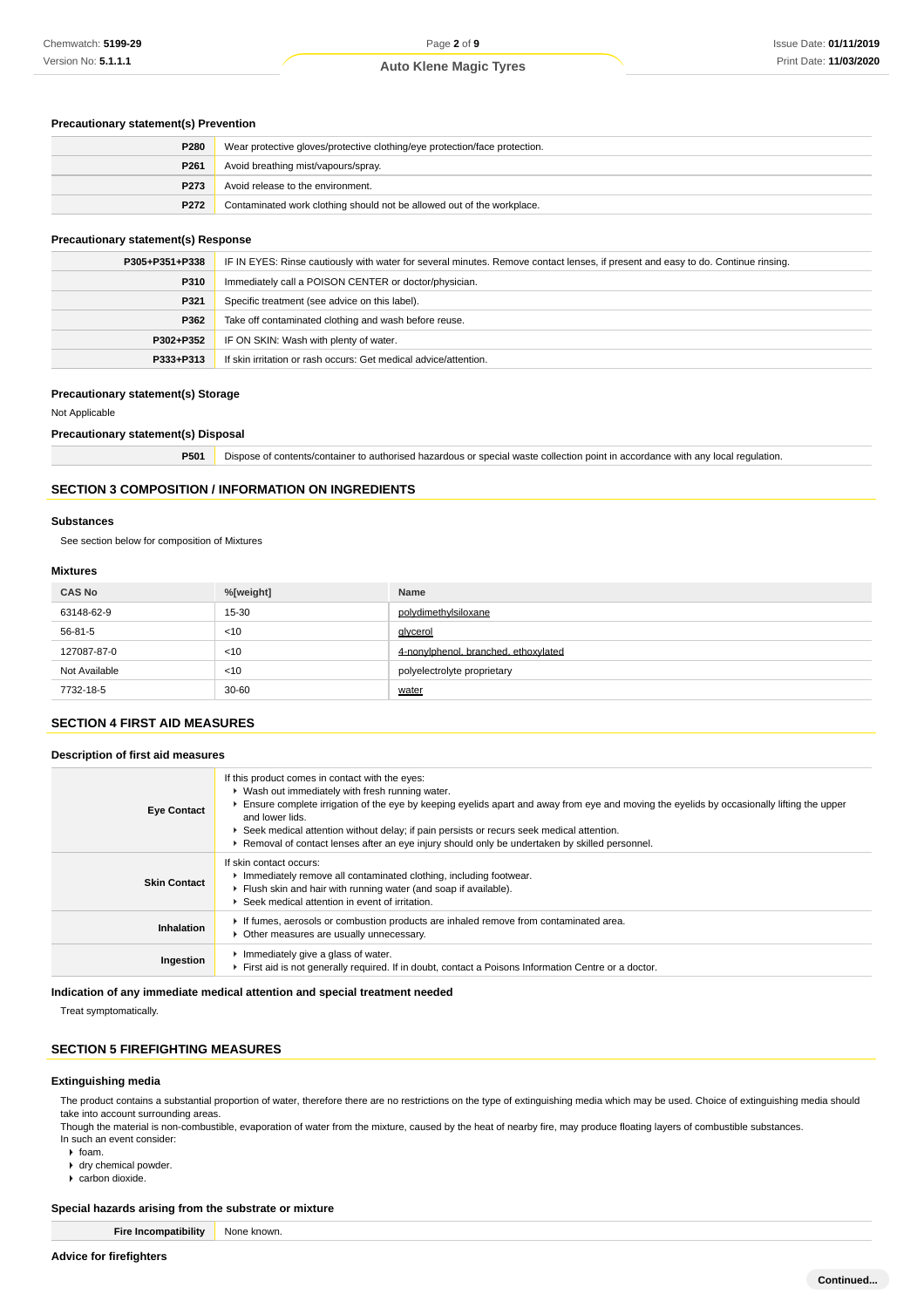#### **Precautionary statement(s) Prevention**

| P280             | Wear protective gloves/protective clothing/eye protection/face protection. |
|------------------|----------------------------------------------------------------------------|
| P261             | Avoid breathing mist/vapours/spray.                                        |
| P <sub>273</sub> | Avoid release to the environment.                                          |
| P272             | Contaminated work clothing should not be allowed out of the workplace.     |

#### **Precautionary statement(s) Response**

| P305+P351+P338 | IF IN EYES: Rinse cautiously with water for several minutes. Remove contact lenses, if present and easy to do. Continue rinsing. |
|----------------|----------------------------------------------------------------------------------------------------------------------------------|
| P310           | Immediately call a POISON CENTER or doctor/physician.                                                                            |
| P321           | Specific treatment (see advice on this label).                                                                                   |
| P362           | Take off contaminated clothing and wash before reuse.                                                                            |
| P302+P352      | IF ON SKIN: Wash with plenty of water.                                                                                           |
| P333+P313      | If skin irritation or rash occurs: Get medical advice/attention.                                                                 |

#### **Precautionary statement(s) Storage**

#### Not Applicable

#### **Precautionary statement(s) Disposal**

**P501** Dispose of contents/container to authorised hazardous or special waste collection point in accordance with any local regulation.

#### **SECTION 3 COMPOSITION / INFORMATION ON INGREDIENTS**

#### **Substances**

See section below for composition of Mixtures

# **Mixtures**

| <b>CAS No</b> | %[weight] | Name                                 |
|---------------|-----------|--------------------------------------|
| 63148-62-9    | 15-30     | polydimethylsiloxane                 |
| 56-81-5       | < 10      | glycerol                             |
| 127087-87-0   | < 10      | 4-nonvlphenol, branched, ethoxylated |
| Not Available | < 10      | polyelectrolyte proprietary          |
| 7732-18-5     | $30 - 60$ | water                                |

# **SECTION 4 FIRST AID MEASURES**

#### **Description of first aid measures**

| <b>Eye Contact</b>  | If this product comes in contact with the eyes:<br>▶ Wash out immediately with fresh running water.<br>Ensure complete irrigation of the eye by keeping eyelids apart and away from eye and moving the eyelids by occasionally lifting the upper<br>and lower lids.<br>► Seek medical attention without delay; if pain persists or recurs seek medical attention.<br>Removal of contact lenses after an eye injury should only be undertaken by skilled personnel. |
|---------------------|--------------------------------------------------------------------------------------------------------------------------------------------------------------------------------------------------------------------------------------------------------------------------------------------------------------------------------------------------------------------------------------------------------------------------------------------------------------------|
| <b>Skin Contact</b> | If skin contact occurs:<br>Immediately remove all contaminated clothing, including footwear.<br>Flush skin and hair with running water (and soap if available).<br>▶ Seek medical attention in event of irritation.                                                                                                                                                                                                                                                |
| Inhalation          | If fumes, aerosols or combustion products are inhaled remove from contaminated area.<br>Other measures are usually unnecessary.                                                                                                                                                                                                                                                                                                                                    |
| Ingestion           | Immediately give a glass of water.<br>First aid is not generally required. If in doubt, contact a Poisons Information Centre or a doctor.                                                                                                                                                                                                                                                                                                                          |

**Indication of any immediate medical attention and special treatment needed**

Treat symptomatically.

#### **SECTION 5 FIREFIGHTING MEASURES**

# **Extinguishing media**

The product contains a substantial proportion of water, therefore there are no restrictions on the type of extinguishing media which may be used. Choice of extinguishing media should take into account surrounding areas.

Though the material is non-combustible, evaporation of water from the mixture, caused by the heat of nearby fire, may produce floating layers of combustible substances. In such an event consider:

- $\blacktriangleright$  foam.
- dry chemical powder.
- carbon dioxide.

#### **Special hazards arising from the substrate or mixture**

**Fire Incompatibility** None known.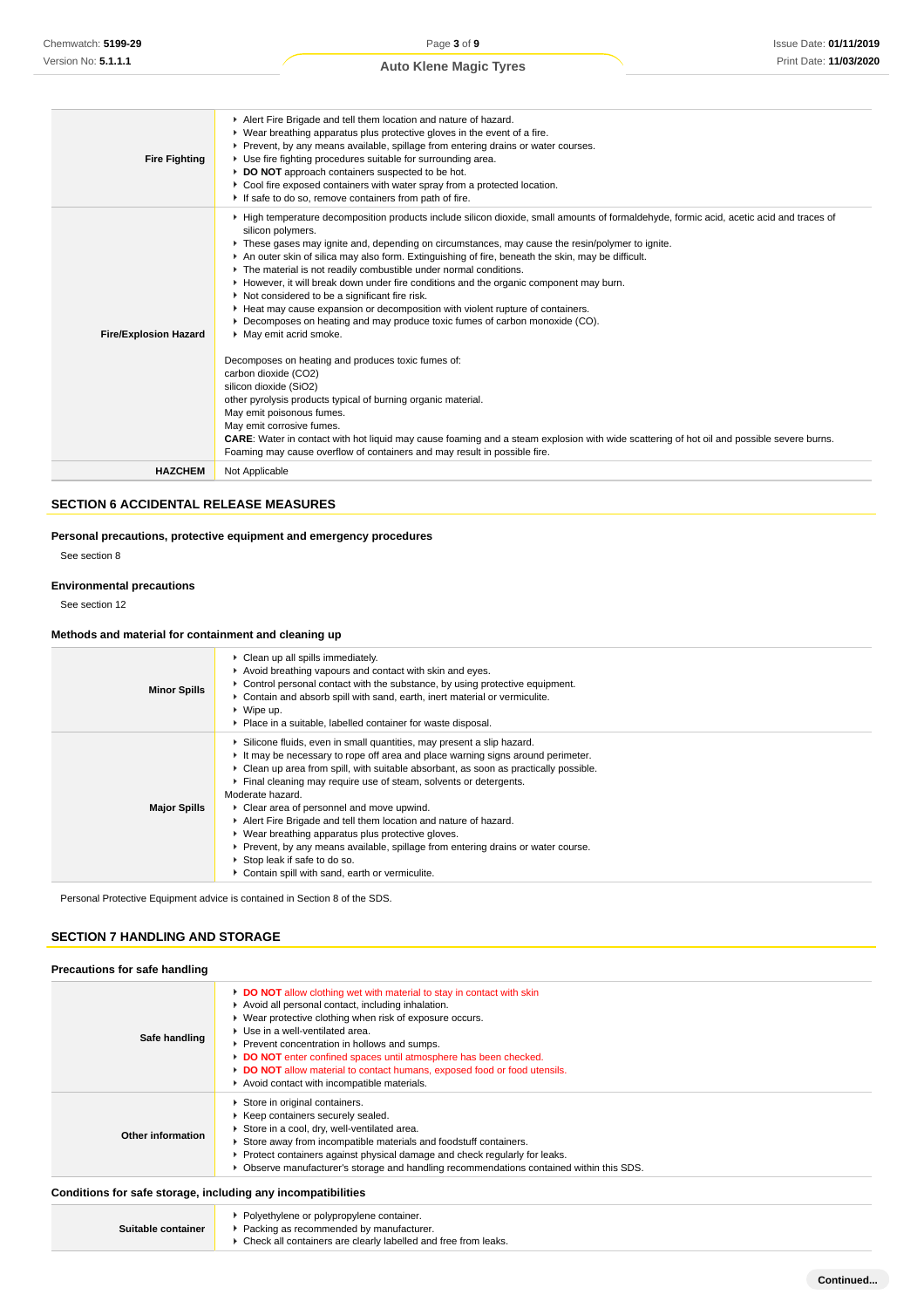| <b>Fire Fighting</b>         | Alert Fire Brigade and tell them location and nature of hazard.<br>• Wear breathing apparatus plus protective gloves in the event of a fire.<br>Prevent, by any means available, spillage from entering drains or water courses.<br>• Use fire fighting procedures suitable for surrounding area.<br>DO NOT approach containers suspected to be hot.<br>• Cool fire exposed containers with water spray from a protected location.<br>If safe to do so, remove containers from path of fire.                                                                                                                                                                                                                                                                                                                                                                                                                                                                                                                                                                                                                                                                                                                                                |
|------------------------------|---------------------------------------------------------------------------------------------------------------------------------------------------------------------------------------------------------------------------------------------------------------------------------------------------------------------------------------------------------------------------------------------------------------------------------------------------------------------------------------------------------------------------------------------------------------------------------------------------------------------------------------------------------------------------------------------------------------------------------------------------------------------------------------------------------------------------------------------------------------------------------------------------------------------------------------------------------------------------------------------------------------------------------------------------------------------------------------------------------------------------------------------------------------------------------------------------------------------------------------------|
| <b>Fire/Explosion Hazard</b> | High temperature decomposition products include silicon dioxide, small amounts of formaldehyde, formic acid, acetic acid and traces of<br>silicon polymers.<br>These gases may ignite and, depending on circumstances, may cause the resin/polymer to ignite.<br>An outer skin of silica may also form. Extinguishing of fire, beneath the skin, may be difficult.<br>The material is not readily combustible under normal conditions.<br>► However, it will break down under fire conditions and the organic component may burn.<br>Not considered to be a significant fire risk.<br>Heat may cause expansion or decomposition with violent rupture of containers.<br>▶ Decomposes on heating and may produce toxic fumes of carbon monoxide (CO).<br>• May emit acrid smoke.<br>Decomposes on heating and produces toxic fumes of:<br>carbon dioxide (CO2)<br>silicon dioxide (SiO2)<br>other pyrolysis products typical of burning organic material.<br>May emit poisonous fumes.<br>May emit corrosive fumes.<br>CARE: Water in contact with hot liquid may cause foaming and a steam explosion with wide scattering of hot oil and possible severe burns.<br>Foaming may cause overflow of containers and may result in possible fire. |
| <b>HAZCHEM</b>               | Not Applicable                                                                                                                                                                                                                                                                                                                                                                                                                                                                                                                                                                                                                                                                                                                                                                                                                                                                                                                                                                                                                                                                                                                                                                                                                              |

# **SECTION 6 ACCIDENTAL RELEASE MEASURES**

#### **Personal precautions, protective equipment and emergency procedures**

See section 8

# **Environmental precautions**

See section 12

# **Methods and material for containment and cleaning up**

| <b>Minor Spills</b> | • Clean up all spills immediately.<br>Avoid breathing vapours and contact with skin and eyes.<br>► Control personal contact with the substance, by using protective equipment.<br>Contain and absorb spill with sand, earth, inert material or vermiculite.<br>$\triangleright$ Wipe up.<br>▶ Place in a suitable, labelled container for waste disposal.                                                                                                                                                                                                                                                                                                                           |
|---------------------|-------------------------------------------------------------------------------------------------------------------------------------------------------------------------------------------------------------------------------------------------------------------------------------------------------------------------------------------------------------------------------------------------------------------------------------------------------------------------------------------------------------------------------------------------------------------------------------------------------------------------------------------------------------------------------------|
| <b>Major Spills</b> | Silicone fluids, even in small quantities, may present a slip hazard.<br>It may be necessary to rope off area and place warning signs around perimeter.<br>• Clean up area from spill, with suitable absorbant, as soon as practically possible.<br>Final cleaning may require use of steam, solvents or detergents.<br>Moderate hazard.<br>• Clear area of personnel and move upwind.<br>Alert Fire Brigade and tell them location and nature of hazard.<br>▶ Wear breathing apparatus plus protective gloves.<br>Prevent, by any means available, spillage from entering drains or water course.<br>Stop leak if safe to do so.<br>Contain spill with sand, earth or vermiculite. |

Personal Protective Equipment advice is contained in Section 8 of the SDS.

#### **SECTION 7 HANDLING AND STORAGE**

| Precautions for safe handling                                |                                                                                                                                                                                                                                                                                                                                                                                                                                                                                                     |
|--------------------------------------------------------------|-----------------------------------------------------------------------------------------------------------------------------------------------------------------------------------------------------------------------------------------------------------------------------------------------------------------------------------------------------------------------------------------------------------------------------------------------------------------------------------------------------|
| Safe handling                                                | <b>DO NOT</b> allow clothing wet with material to stay in contact with skin<br>Avoid all personal contact, including inhalation.<br>▶ Wear protective clothing when risk of exposure occurs.<br>$\blacktriangleright$ Use in a well-ventilated area.<br>▶ Prevent concentration in hollows and sumps.<br>DO NOT enter confined spaces until atmosphere has been checked.<br>► DO NOT allow material to contact humans, exposed food or food utensils.<br>Avoid contact with incompatible materials. |
| Other information                                            | Store in original containers.<br>▶ Keep containers securely sealed.<br>Store in a cool, dry, well-ventilated area.<br>Store away from incompatible materials and foodstuff containers.<br>▶ Protect containers against physical damage and check regularly for leaks.<br>▶ Observe manufacturer's storage and handling recommendations contained within this SDS.                                                                                                                                   |
| Conditions for safe storage, including any incompatibilities |                                                                                                                                                                                                                                                                                                                                                                                                                                                                                                     |

|                    | Polyethylene or polypropylene container.                                             |
|--------------------|--------------------------------------------------------------------------------------|
| Suitable container | ▶ Packing as recommended by manufacturer.                                            |
|                    | $\blacktriangleright$ Check all containers are clearly labelled and free from leaks. |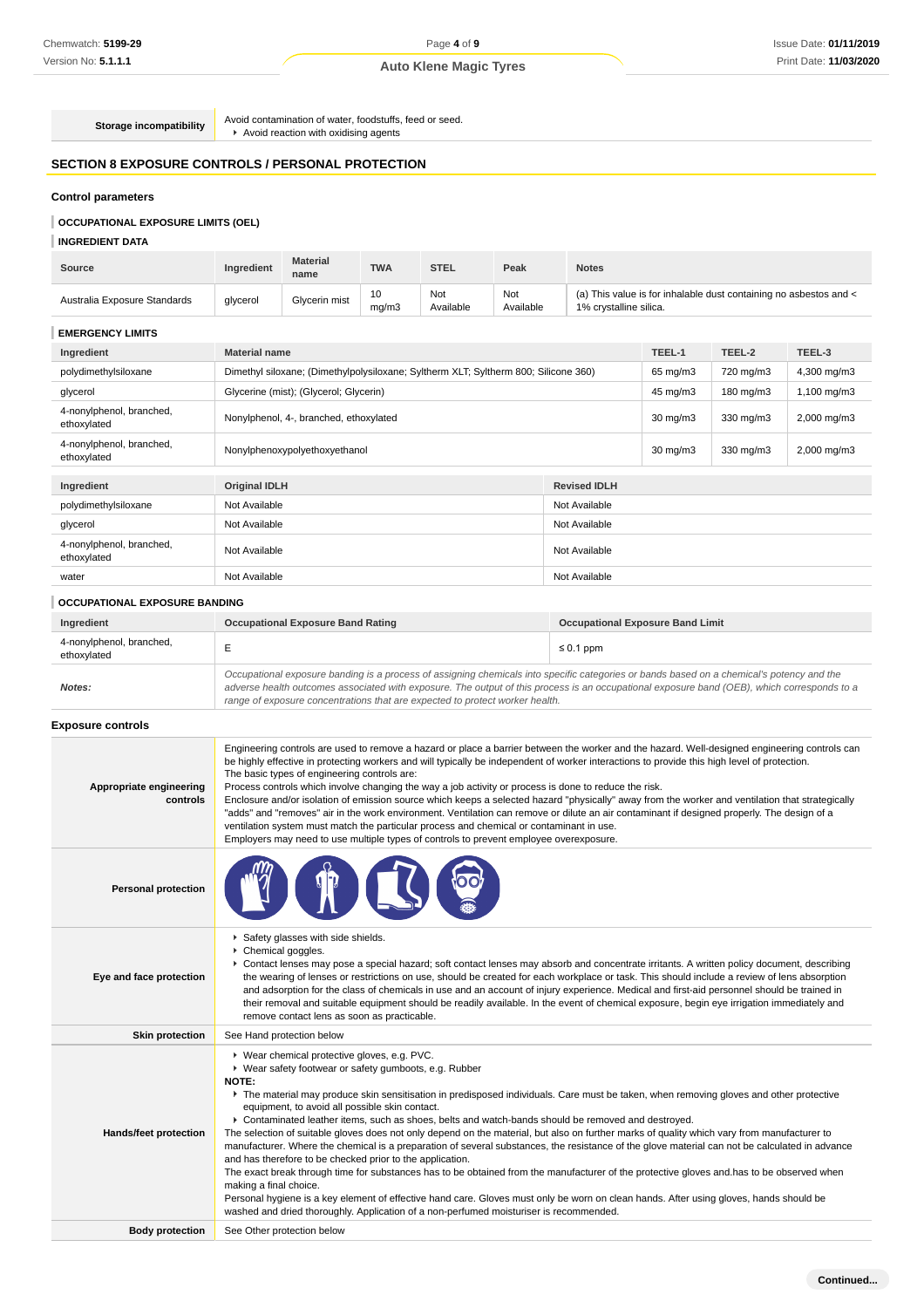**Storage incompatibility** Avoid contamination of water, foodstuffs, feed or seed.<br> **Avoid reaction with oxidising agents** 

# **SECTION 8 EXPOSURE CONTROLS / PERSONAL PROTECTION**

# **Control parameters**

# **OCCUPATIONAL EXPOSURE LIMITS (OEL)**

#### **INGREDIENT DATA**

| <b>Source</b>                | Ingredient           | <b>Material</b><br>name | <b>TWA</b>  | <b>STEL</b>      | Peak             | <b>Notes</b>           |        |                                                                   |        |
|------------------------------|----------------------|-------------------------|-------------|------------------|------------------|------------------------|--------|-------------------------------------------------------------------|--------|
| Australia Exposure Standards | glycerol             | Glycerin mist           | 10<br>mq/m3 | Not<br>Available | Not<br>Available | 1% crystalline silica. |        | (a) This value is for inhalable dust containing no asbestos and < |        |
| <b>EMERGENCY LIMITS</b>      |                      |                         |             |                  |                  |                        |        |                                                                   |        |
| Ingredient                   | <b>Material name</b> |                         |             |                  |                  |                        | TEEL-1 | TEEL-2                                                            | TEEL-3 |

| polydimethylsiloxane                    | Dimethyl siloxane; (Dimethylpolysiloxane; Syltherm XLT; Syltherm 800; Silicone 360) |                     | 65 mg/m3          | 720 mg/m3 | 4,300 mg/m3 |
|-----------------------------------------|-------------------------------------------------------------------------------------|---------------------|-------------------|-----------|-------------|
| glycerol                                | Glycerine (mist); (Glycerol; Glycerin)                                              |                     | 45 mg/m3          | 180 mg/m3 | 1,100 mg/m3 |
| 4-nonylphenol, branched,<br>ethoxylated | Nonylphenol, 4-, branched, ethoxylated                                              |                     | $30 \text{ mg/m}$ | 330 mg/m3 | 2,000 mg/m3 |
| 4-nonylphenol, branched,<br>ethoxylated | Nonylphenoxypolyethoxyethanol                                                       |                     | $30 \text{ mg/m}$ | 330 mg/m3 | 2,000 mg/m3 |
|                                         |                                                                                     |                     |                   |           |             |
| Ingredient                              | <b>Original IDLH</b>                                                                | <b>Revised IDLH</b> |                   |           |             |
| polydimethylsiloxane                    | Not Available                                                                       | Not Available       |                   |           |             |
| glycerol                                | Not Available                                                                       | Not Available       |                   |           |             |
| 4-nonylphenol, branched,<br>ethoxylated | Not Available                                                                       | Not Available       |                   |           |             |
| water                                   | Not Available<br>Not Available                                                      |                     |                   |           |             |
| <b>OCCUPATIONAL EXPOSURE BANDING</b>    |                                                                                     |                     |                   |           |             |

| Ingredient                              | <b>Occupational Exposure Band Rating</b>                                                                                                                                                                                                                                                                                                                                 | <b>Occupational Exposure Band Limit</b> |
|-----------------------------------------|--------------------------------------------------------------------------------------------------------------------------------------------------------------------------------------------------------------------------------------------------------------------------------------------------------------------------------------------------------------------------|-----------------------------------------|
| 4-nonylphenol, branched,<br>ethoxylated |                                                                                                                                                                                                                                                                                                                                                                          | $\leq 0.1$ ppm                          |
| Notes:                                  | Occupational exposure banding is a process of assigning chemicals into specific categories or bands based on a chemical's potency and the<br>adverse health outcomes associated with exposure. The output of this process is an occupational exposure band (OEB), which corresponds to a<br>range of exposure concentrations that are expected to protect worker health. |                                         |

#### **Exposure controls**

| <b>Personal protection</b><br>Safety glasses with side shields.<br>Chemical goggles.<br>▶ Contact lenses may pose a special hazard; soft contact lenses may absorb and concentrate irritants. A written policy document, describing<br>the wearing of lenses or restrictions on use, should be created for each workplace or task. This should include a review of lens absorption<br>Eye and face protection<br>and adsorption for the class of chemicals in use and an account of injury experience. Medical and first-aid personnel should be trained in<br>their removal and suitable equipment should be readily available. In the event of chemical exposure, begin eye irrigation immediately and<br>remove contact lens as soon as practicable.<br><b>Skin protection</b><br>See Hand protection below<br>▶ Wear chemical protective gloves, e.g. PVC.<br>▶ Wear safety footwear or safety gumboots, e.g. Rubber<br><b>NOTE:</b><br>▶ The material may produce skin sensitisation in predisposed individuals. Care must be taken, when removing gloves and other protective<br>equipment, to avoid all possible skin contact.<br>▶ Contaminated leather items, such as shoes, belts and watch-bands should be removed and destroyed.<br>The selection of suitable gloves does not only depend on the material, but also on further marks of quality which vary from manufacturer to<br>Hands/feet protection<br>manufacturer. Where the chemical is a preparation of several substances, the resistance of the glove material can not be calculated in advance<br>and has therefore to be checked prior to the application.<br>The exact break through time for substances has to be obtained from the manufacturer of the protective gloves and has to be observed when<br>making a final choice.<br>Personal hygiene is a key element of effective hand care. Gloves must only be worn on clean hands. After using gloves, hands should be<br>washed and dried thoroughly. Application of a non-perfumed moisturiser is recommended.<br><b>Body protection</b><br>See Other protection below | Appropriate engineering<br>controls | Engineering controls are used to remove a hazard or place a barrier between the worker and the hazard. Well-designed engineering controls can<br>be highly effective in protecting workers and will typically be independent of worker interactions to provide this high level of protection.<br>The basic types of engineering controls are:<br>Process controls which involve changing the way a job activity or process is done to reduce the risk.<br>Enclosure and/or isolation of emission source which keeps a selected hazard "physically" away from the worker and ventilation that strategically<br>"adds" and "removes" air in the work environment. Ventilation can remove or dilute an air contaminant if designed properly. The design of a<br>ventilation system must match the particular process and chemical or contaminant in use.<br>Employers may need to use multiple types of controls to prevent employee overexposure. |
|--------------------------------------------------------------------------------------------------------------------------------------------------------------------------------------------------------------------------------------------------------------------------------------------------------------------------------------------------------------------------------------------------------------------------------------------------------------------------------------------------------------------------------------------------------------------------------------------------------------------------------------------------------------------------------------------------------------------------------------------------------------------------------------------------------------------------------------------------------------------------------------------------------------------------------------------------------------------------------------------------------------------------------------------------------------------------------------------------------------------------------------------------------------------------------------------------------------------------------------------------------------------------------------------------------------------------------------------------------------------------------------------------------------------------------------------------------------------------------------------------------------------------------------------------------------------------------------------------------------------------------------------------------------------------------------------------------------------------------------------------------------------------------------------------------------------------------------------------------------------------------------------------------------------------------------------------------------------------------------------------------------------------------------------------------------------------------------------------------|-------------------------------------|-------------------------------------------------------------------------------------------------------------------------------------------------------------------------------------------------------------------------------------------------------------------------------------------------------------------------------------------------------------------------------------------------------------------------------------------------------------------------------------------------------------------------------------------------------------------------------------------------------------------------------------------------------------------------------------------------------------------------------------------------------------------------------------------------------------------------------------------------------------------------------------------------------------------------------------------------|
|                                                                                                                                                                                                                                                                                                                                                                                                                                                                                                                                                                                                                                                                                                                                                                                                                                                                                                                                                                                                                                                                                                                                                                                                                                                                                                                                                                                                                                                                                                                                                                                                                                                                                                                                                                                                                                                                                                                                                                                                                                                                                                        |                                     |                                                                                                                                                                                                                                                                                                                                                                                                                                                                                                                                                                                                                                                                                                                                                                                                                                                                                                                                                 |
|                                                                                                                                                                                                                                                                                                                                                                                                                                                                                                                                                                                                                                                                                                                                                                                                                                                                                                                                                                                                                                                                                                                                                                                                                                                                                                                                                                                                                                                                                                                                                                                                                                                                                                                                                                                                                                                                                                                                                                                                                                                                                                        |                                     |                                                                                                                                                                                                                                                                                                                                                                                                                                                                                                                                                                                                                                                                                                                                                                                                                                                                                                                                                 |
|                                                                                                                                                                                                                                                                                                                                                                                                                                                                                                                                                                                                                                                                                                                                                                                                                                                                                                                                                                                                                                                                                                                                                                                                                                                                                                                                                                                                                                                                                                                                                                                                                                                                                                                                                                                                                                                                                                                                                                                                                                                                                                        |                                     |                                                                                                                                                                                                                                                                                                                                                                                                                                                                                                                                                                                                                                                                                                                                                                                                                                                                                                                                                 |
|                                                                                                                                                                                                                                                                                                                                                                                                                                                                                                                                                                                                                                                                                                                                                                                                                                                                                                                                                                                                                                                                                                                                                                                                                                                                                                                                                                                                                                                                                                                                                                                                                                                                                                                                                                                                                                                                                                                                                                                                                                                                                                        |                                     |                                                                                                                                                                                                                                                                                                                                                                                                                                                                                                                                                                                                                                                                                                                                                                                                                                                                                                                                                 |
|                                                                                                                                                                                                                                                                                                                                                                                                                                                                                                                                                                                                                                                                                                                                                                                                                                                                                                                                                                                                                                                                                                                                                                                                                                                                                                                                                                                                                                                                                                                                                                                                                                                                                                                                                                                                                                                                                                                                                                                                                                                                                                        |                                     |                                                                                                                                                                                                                                                                                                                                                                                                                                                                                                                                                                                                                                                                                                                                                                                                                                                                                                                                                 |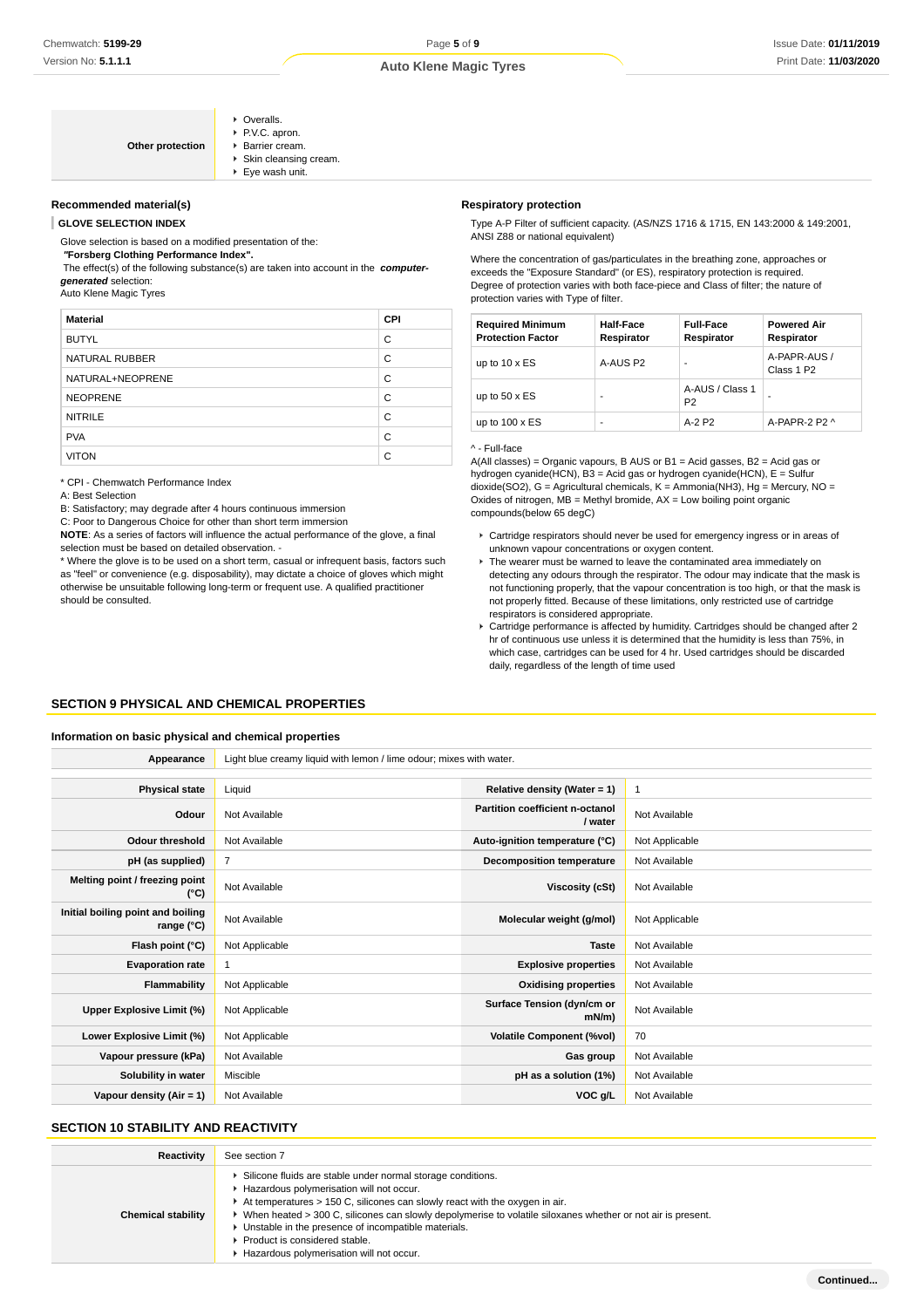| <b>Auto Klene Magic Tyres</b> |  |  |
|-------------------------------|--|--|
|-------------------------------|--|--|

| Other protection | • Overalls.<br>P.V.C. apron.<br>▶ Barrier cream.<br>Skin cleansing cream.<br>$\blacktriangleright$ Eye wash unit. |
|------------------|-------------------------------------------------------------------------------------------------------------------|
|------------------|-------------------------------------------------------------------------------------------------------------------|

#### **Recommended material(s)**

**GLOVE SELECTION INDEX**

Glove selection is based on a modified presentation of the:

 **"Forsberg Clothing Performance Index".**

 The effect(s) of the following substance(s) are taken into account in the **computergenerated** selection:

Auto Klene Magic Tyres

| <b>Material</b>  | <b>CPI</b> |
|------------------|------------|
| <b>BUTYL</b>     | C          |
| NATURAL RUBBER   | C          |
| NATURAL+NEOPRENE | C          |
| <b>NEOPRENE</b>  | C          |
| <b>NITRILE</b>   | C          |
| <b>PVA</b>       | C          |
| <b>VITON</b>     | C          |

\* CPI - Chemwatch Performance Index

A: Best Selection

B: Satisfactory; may degrade after 4 hours continuous immersion

C: Poor to Dangerous Choice for other than short term immersion

**NOTE**: As a series of factors will influence the actual performance of the glove, a final selection must be based on detailed observation -

\* Where the glove is to be used on a short term, casual or infrequent basis, factors such as "feel" or convenience (e.g. disposability), may dictate a choice of gloves which might otherwise be unsuitable following long-term or frequent use. A qualified practitioner should be consulted.

#### **Respiratory protection**

Type A-P Filter of sufficient capacity. (AS/NZS 1716 & 1715, EN 143:2000 & 149:2001, ANSI Z88 or national equivalent)

Where the concentration of gas/particulates in the breathing zone, approaches or exceeds the "Exposure Standard" (or ES), respiratory protection is required. Degree of protection varies with both face-piece and Class of filter; the nature of protection varies with Type of filter.

| <b>Required Minimum</b><br><b>Protection Factor</b> | <b>Half-Face</b><br>Respirator | <b>Full-Face</b><br>Respirator    | <b>Powered Air</b><br>Respirator       |
|-----------------------------------------------------|--------------------------------|-----------------------------------|----------------------------------------|
| up to $10 \times ES$                                | A-AUS P2                       |                                   | A-PAPR-AUS /<br>Class 1 P <sub>2</sub> |
| up to $50 \times ES$                                |                                | A-AUS / Class 1<br>P <sub>2</sub> |                                        |
| up to $100 \times ES$                               |                                | A-2 P2                            | A-PAPR-2 P2 $\land$                    |

#### ^ - Full-face

A(All classes) = Organic vapours, B AUS or B1 = Acid gasses, B2 = Acid gas or hydrogen cyanide(HCN), B3 = Acid gas or hydrogen cyanide(HCN), E = Sulfur dioxide(SO2), G = Agricultural chemicals, K = Ammonia(NH3), Hg = Mercury, NO = Oxides of nitrogen,  $MB =$  Methyl bromide,  $AX =$  Low boiling point organic compounds(below 65 degC)

- Cartridge respirators should never be used for emergency ingress or in areas of unknown vapour concentrations or oxygen content.
- ▶ The wearer must be warned to leave the contaminated area immediately on detecting any odours through the respirator. The odour may indicate that the mask is not functioning properly, that the vapour concentration is too high, or that the mask is not properly fitted. Because of these limitations, only restricted use of cartridge respirators is considered appropriate.
- Cartridge performance is affected by humidity. Cartridges should be changed after 2 hr of continuous use unless it is determined that the humidity is less than 75%, in which case, cartridges can be used for 4 hr. Used cartridges should be discarded daily, regardless of the length of time used

#### **SECTION 9 PHYSICAL AND CHEMICAL PROPERTIES**

#### **Information on basic physical and chemical properties**

**Appearance** Light blue creamy liquid with lemon / lime odour; mixes with water.

| <b>Physical state</b>                           | Liquid         | Relative density (Water = $1$ )            | $\overline{1}$ |
|-------------------------------------------------|----------------|--------------------------------------------|----------------|
| Odour                                           | Not Available  | Partition coefficient n-octanol<br>/ water | Not Available  |
| <b>Odour threshold</b>                          | Not Available  | Auto-ignition temperature (°C)             | Not Applicable |
| pH (as supplied)                                | $\overline{7}$ | <b>Decomposition temperature</b>           | Not Available  |
| Melting point / freezing point<br>(°C)          | Not Available  | Viscosity (cSt)                            | Not Available  |
| Initial boiling point and boiling<br>range (°C) | Not Available  | Molecular weight (g/mol)                   | Not Applicable |
| Flash point (°C)                                | Not Applicable | <b>Taste</b>                               | Not Available  |
| <b>Evaporation rate</b>                         | 1              | <b>Explosive properties</b>                | Not Available  |
| Flammability                                    | Not Applicable | <b>Oxidising properties</b>                | Not Available  |
| Upper Explosive Limit (%)                       | Not Applicable | Surface Tension (dyn/cm or<br>mN/m)        | Not Available  |
| Lower Explosive Limit (%)                       | Not Applicable | <b>Volatile Component (%vol)</b>           | 70             |
| Vapour pressure (kPa)                           | Not Available  | Gas group                                  | Not Available  |
| Solubility in water                             | Miscible       | pH as a solution (1%)                      | Not Available  |
| Vapour density (Air = 1)                        | Not Available  | VOC g/L                                    | Not Available  |

# **SECTION 10 STABILITY AND REACTIVITY**

| <b>Reactivity</b>         | See section 7                                                                                                                                                                                                                                                                                                                                                                                                                                       |
|---------------------------|-----------------------------------------------------------------------------------------------------------------------------------------------------------------------------------------------------------------------------------------------------------------------------------------------------------------------------------------------------------------------------------------------------------------------------------------------------|
| <b>Chemical stability</b> | Silicone fluids are stable under normal storage conditions.<br>Hazardous polymerisation will not occur.<br>$\cdot$ At temperatures $> 150$ C, silicones can slowly react with the oxygen in air.<br>When heated > 300 C, silicones can slowly depolymerise to volatile siloxanes whether or not air is present.<br>Unstable in the presence of incompatible materials.<br>Product is considered stable.<br>Hazardous polymerisation will not occur. |

**Continued...**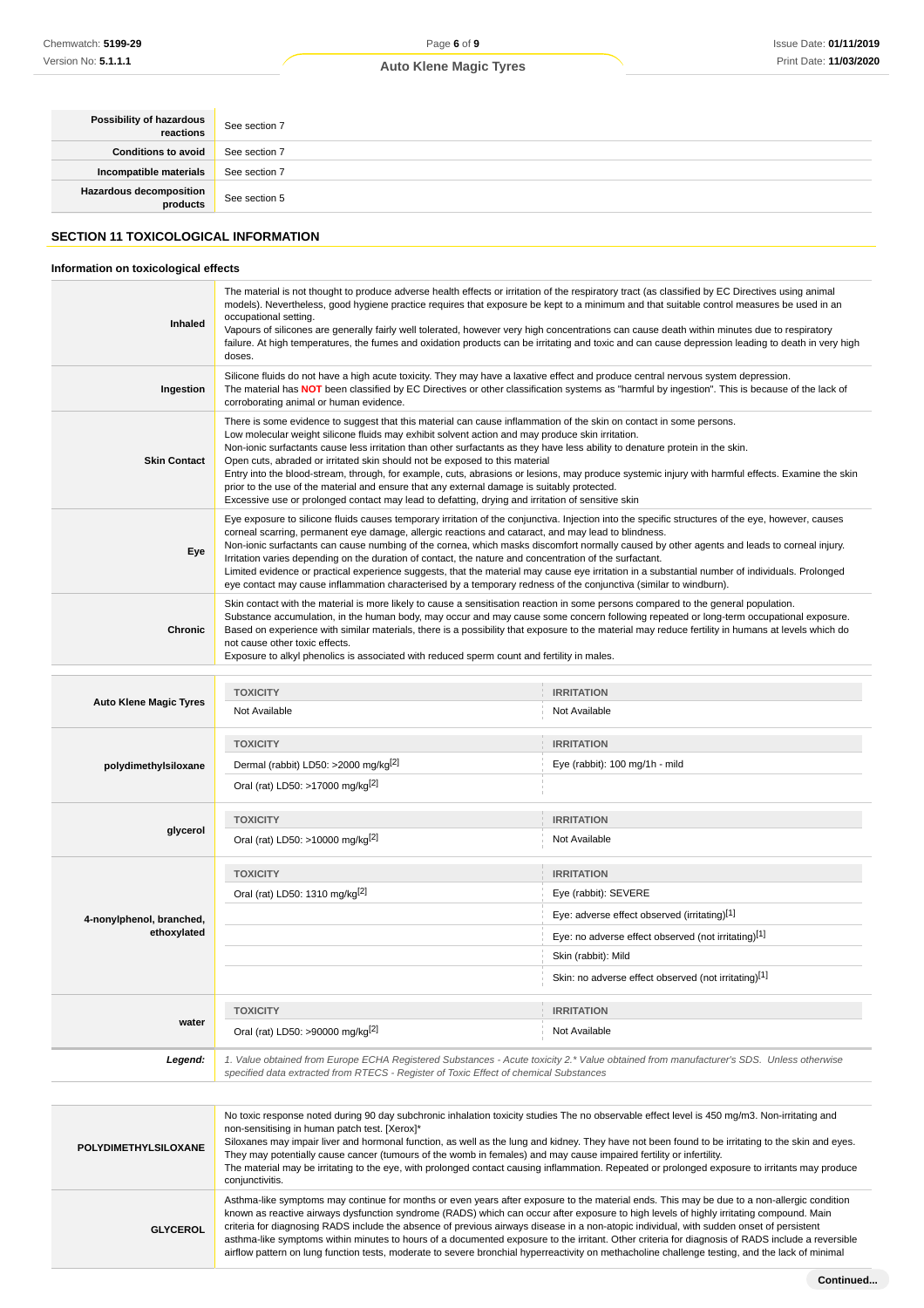| <b>Possibility of hazardous</b>       | See section 7 |
|---------------------------------------|---------------|
| <b>Conditions to avoid</b>            | See section 7 |
| Incompatible materials                | See section 7 |
| Hazardous decomposition See section 5 |               |
|                                       |               |

# **SECTION 11 TOXICOLOGICAL INFORMATION**

# **Information on toxicological effects**

| Inhaled             | The material is not thought to produce adverse health effects or irritation of the respiratory tract (as classified by EC Directives using animal<br>models). Nevertheless, good hygiene practice requires that exposure be kept to a minimum and that suitable control measures be used in an<br>occupational setting.<br>Vapours of silicones are generally fairly well tolerated, however very high concentrations can cause death within minutes due to respiratory<br>failure. At high temperatures, the fumes and oxidation products can be irritating and toxic and can cause depression leading to death in very high<br>doses.                                                                                                                                                          |
|---------------------|--------------------------------------------------------------------------------------------------------------------------------------------------------------------------------------------------------------------------------------------------------------------------------------------------------------------------------------------------------------------------------------------------------------------------------------------------------------------------------------------------------------------------------------------------------------------------------------------------------------------------------------------------------------------------------------------------------------------------------------------------------------------------------------------------|
| Ingestion           | Silicone fluids do not have a high acute toxicity. They may have a laxative effect and produce central nervous system depression.<br>The material has NOT been classified by EC Directives or other classification systems as "harmful by ingestion". This is because of the lack of<br>corroborating animal or human evidence.                                                                                                                                                                                                                                                                                                                                                                                                                                                                  |
| <b>Skin Contact</b> | There is some evidence to suggest that this material can cause inflammation of the skin on contact in some persons.<br>Low molecular weight silicone fluids may exhibit solvent action and may produce skin irritation.<br>Non-ionic surfactants cause less irritation than other surfactants as they have less ability to denature protein in the skin.<br>Open cuts, abraded or irritated skin should not be exposed to this material<br>Entry into the blood-stream, through, for example, cuts, abrasions or lesions, may produce systemic injury with harmful effects. Examine the skin<br>prior to the use of the material and ensure that any external damage is suitably protected.<br>Excessive use or prolonged contact may lead to defatting, drying and irritation of sensitive skin |
| Eye                 | Eye exposure to silicone fluids causes temporary irritation of the conjunctiva. Injection into the specific structures of the eye, however, causes<br>corneal scarring, permanent eye damage, allergic reactions and cataract, and may lead to blindness.<br>Non-ionic surfactants can cause numbing of the cornea, which masks discomfort normally caused by other agents and leads to corneal injury.<br>Irritation varies depending on the duration of contact, the nature and concentration of the surfactant.<br>Limited evidence or practical experience suggests, that the material may cause eye irritation in a substantial number of individuals. Prolonged<br>eye contact may cause inflammation characterised by a temporary redness of the conjunctiva (similar to windburn).       |
| <b>Chronic</b>      | Skin contact with the material is more likely to cause a sensitisation reaction in some persons compared to the general population.<br>Substance accumulation, in the human body, may occur and may cause some concern following repeated or long-term occupational exposure.<br>Based on experience with similar materials, there is a possibility that exposure to the material may reduce fertility in humans at levels which do<br>not cause other toxic effects.<br>Exposure to alkyl phenolics is associated with reduced sperm count and fertility in males.                                                                                                                                                                                                                              |

| <b>Auto Klene Magic Tyres</b> | <b>TOXICITY</b>                                                                                                                                                                                                                 | <b>IRRITATION</b>                                    |
|-------------------------------|---------------------------------------------------------------------------------------------------------------------------------------------------------------------------------------------------------------------------------|------------------------------------------------------|
|                               | Not Available                                                                                                                                                                                                                   | Not Available                                        |
| polydimethylsiloxane          | <b>TOXICITY</b>                                                                                                                                                                                                                 | <b>IRRITATION</b>                                    |
|                               | Dermal (rabbit) LD50: >2000 mg/kg <sup>[2]</sup>                                                                                                                                                                                | Eye (rabbit): 100 mg/1h - mild                       |
|                               | Oral (rat) LD50: >17000 mg/kg <sup>[2]</sup>                                                                                                                                                                                    |                                                      |
|                               | <b>TOXICITY</b>                                                                                                                                                                                                                 | <b>IRRITATION</b>                                    |
| glycerol                      | Oral (rat) LD50: >10000 mg/kg <sup>[2]</sup>                                                                                                                                                                                    | Not Available                                        |
|                               | <b>TOXICITY</b>                                                                                                                                                                                                                 | <b>IRRITATION</b>                                    |
|                               | Oral (rat) LD50: 1310 mg/kg[2]                                                                                                                                                                                                  | Eye (rabbit): SEVERE                                 |
| 4-nonylphenol, branched,      |                                                                                                                                                                                                                                 | Eye: adverse effect observed (irritating)[1]         |
| ethoxylated                   |                                                                                                                                                                                                                                 | Eye: no adverse effect observed (not irritating)[1]  |
|                               |                                                                                                                                                                                                                                 | Skin (rabbit): Mild                                  |
|                               |                                                                                                                                                                                                                                 | Skin: no adverse effect observed (not irritating)[1] |
|                               | <b>TOXICITY</b>                                                                                                                                                                                                                 | <b>IRRITATION</b>                                    |
| water                         | Oral (rat) LD50: >90000 mg/kg <sup>[2]</sup>                                                                                                                                                                                    | Not Available                                        |
| Legend:                       | 1. Value obtained from Europe ECHA Registered Substances - Acute toxicity 2.* Value obtained from manufacturer's SDS. Unless otherwise<br>specified data extracted from RTECS - Register of Toxic Effect of chemical Substances |                                                      |

| <b>POLYDIMETHYLSILOXANE</b> | No toxic response noted during 90 day subchronic inhalation toxicity studies The no observable effect level is 450 mg/m3. Non-irritating and<br>non-sensitising in human patch test. [Xerox]*<br>Siloxanes may impair liver and hormonal function, as well as the lung and kidney. They have not been found to be irritating to the skin and eyes.<br>They may potentially cause cancer (tumours of the womb in females) and may cause impaired fertility or infertility.<br>The material may be irritating to the eye, with prolonged contact causing inflammation. Repeated or prolonged exposure to irritants may produce<br>conjunctivitis.                                                                                           |
|-----------------------------|-------------------------------------------------------------------------------------------------------------------------------------------------------------------------------------------------------------------------------------------------------------------------------------------------------------------------------------------------------------------------------------------------------------------------------------------------------------------------------------------------------------------------------------------------------------------------------------------------------------------------------------------------------------------------------------------------------------------------------------------|
| <b>GLYCEROL</b>             | Asthma-like symptoms may continue for months or even years after exposure to the material ends. This may be due to a non-allergic condition<br>known as reactive airways dysfunction syndrome (RADS) which can occur after exposure to high levels of highly irritating compound. Main<br>criteria for diagnosing RADS include the absence of previous airways disease in a non-atopic individual, with sudden onset of persistent<br>asthma-like symptoms within minutes to hours of a documented exposure to the irritant. Other criteria for diagnosis of RADS include a reversible<br>airflow pattern on lung function tests, moderate to severe bronchial hyperreactivity on methacholine challenge testing, and the lack of minimal |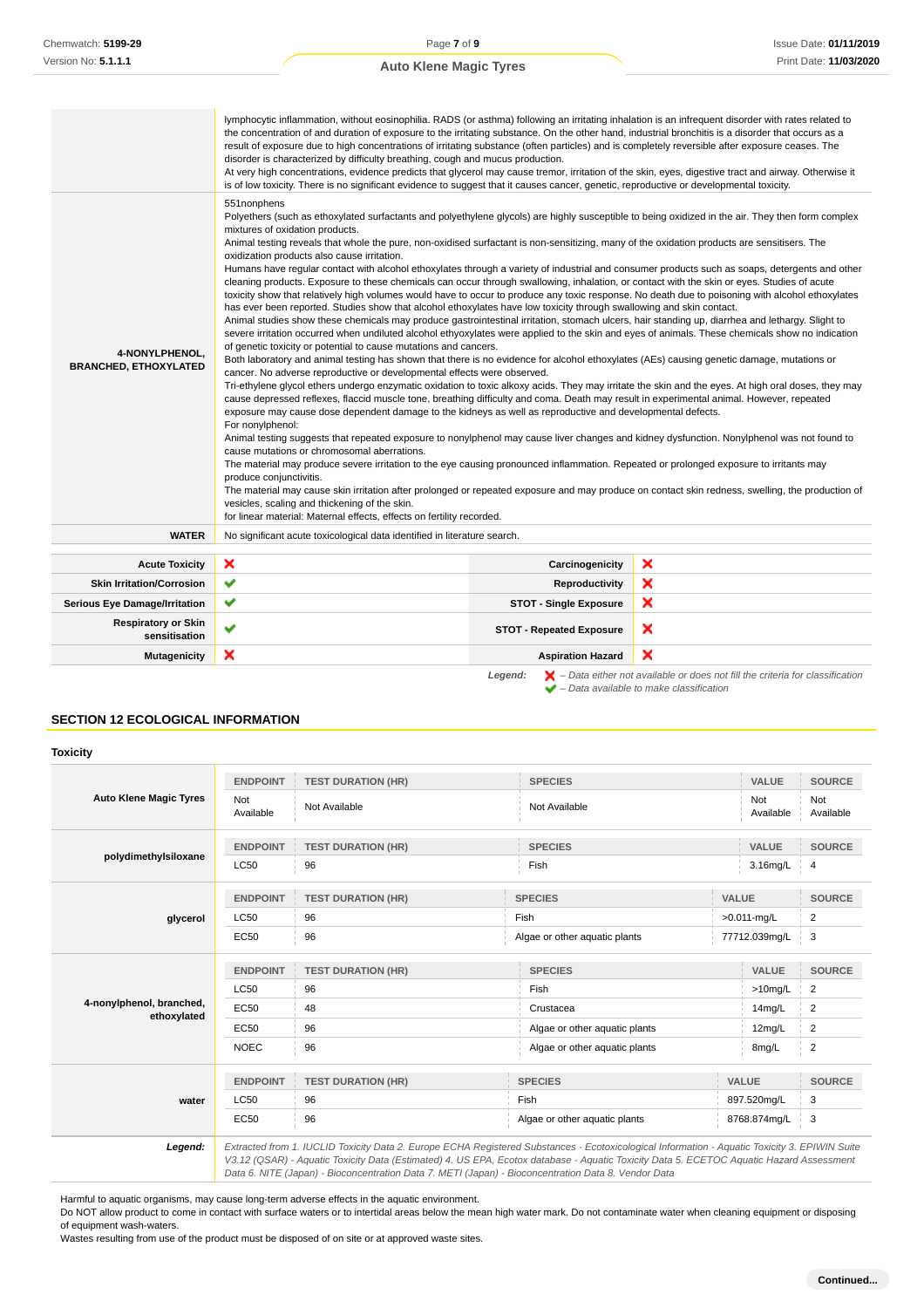| 4-NONYLPHENOL.<br><b>BRANCHED, ETHOXYLATED</b> | lymphocytic inflammation, without eosinophilia. RADS (or asthma) following an irritating inhalation is an infrequent disorder with rates related to<br>the concentration of and duration of exposure to the irritating substance. On the other hand, industrial bronchitis is a disorder that occurs as a<br>result of exposure due to high concentrations of irritating substance (often particles) and is completely reversible after exposure ceases. The<br>disorder is characterized by difficulty breathing, cough and mucus production.<br>At very high concentrations, evidence predicts that glycerol may cause tremor, irritation of the skin, eyes, digestive tract and airway. Otherwise it<br>is of low toxicity. There is no significant evidence to suggest that it causes cancer, genetic, reproductive or developmental toxicity.<br>551nonphens<br>Polyethers (such as ethoxylated surfactants and polyethylene glycols) are highly susceptible to being oxidized in the air. They then form complex<br>mixtures of oxidation products.<br>Animal testing reveals that whole the pure, non-oxidised surfactant is non-sensitizing, many of the oxidation products are sensitisers. The<br>oxidization products also cause irritation.<br>Humans have regular contact with alcohol ethoxylates through a variety of industrial and consumer products such as soaps, detergents and other<br>cleaning products. Exposure to these chemicals can occur through swallowing, inhalation, or contact with the skin or eyes. Studies of acute<br>toxicity show that relatively high volumes would have to occur to produce any toxic response. No death due to poisoning with alcohol ethoxylates<br>has ever been reported. Studies show that alcohol ethoxylates have low toxicity through swallowing and skin contact.<br>Animal studies show these chemicals may produce gastrointestinal irritation, stomach ulcers, hair standing up, diarrhea and lethargy. Slight to<br>severe irritation occurred when undiluted alcohol ethyoxylates were applied to the skin and eyes of animals. These chemicals show no indication<br>of genetic toxicity or potential to cause mutations and cancers.<br>Both laboratory and animal testing has shown that there is no evidence for alcohol ethoxylates (AEs) causing genetic damage, mutations or<br>cancer. No adverse reproductive or developmental effects were observed.<br>Tri-ethylene glycol ethers undergo enzymatic oxidation to toxic alkoxy acids. They may irritate the skin and the eyes. At high oral doses, they may<br>cause depressed reflexes, flaccid muscle tone, breathing difficulty and coma. Death may result in experimental animal. However, repeated<br>exposure may cause dose dependent damage to the kidneys as well as reproductive and developmental defects.<br>For nonylphenol:<br>Animal testing suggests that repeated exposure to nonylphenol may cause liver changes and kidney dysfunction. Nonylphenol was not found to<br>cause mutations or chromosomal aberrations.<br>The material may produce severe irritation to the eye causing pronounced inflammation. Repeated or prolonged exposure to irritants may<br>produce conjunctivitis.<br>The material may cause skin irritation after prolonged or repeated exposure and may produce on contact skin redness, swelling, the production of<br>vesicles, scaling and thickening of the skin. |                                 |   |
|------------------------------------------------|----------------------------------------------------------------------------------------------------------------------------------------------------------------------------------------------------------------------------------------------------------------------------------------------------------------------------------------------------------------------------------------------------------------------------------------------------------------------------------------------------------------------------------------------------------------------------------------------------------------------------------------------------------------------------------------------------------------------------------------------------------------------------------------------------------------------------------------------------------------------------------------------------------------------------------------------------------------------------------------------------------------------------------------------------------------------------------------------------------------------------------------------------------------------------------------------------------------------------------------------------------------------------------------------------------------------------------------------------------------------------------------------------------------------------------------------------------------------------------------------------------------------------------------------------------------------------------------------------------------------------------------------------------------------------------------------------------------------------------------------------------------------------------------------------------------------------------------------------------------------------------------------------------------------------------------------------------------------------------------------------------------------------------------------------------------------------------------------------------------------------------------------------------------------------------------------------------------------------------------------------------------------------------------------------------------------------------------------------------------------------------------------------------------------------------------------------------------------------------------------------------------------------------------------------------------------------------------------------------------------------------------------------------------------------------------------------------------------------------------------------------------------------------------------------------------------------------------------------------------------------------------------------------------------------------------------------------------------------------------------------------------------------------------------------------------------------------------------------------------------------------------------------------------------------------------------------------------------------------------------------------------------------------------------------------------------------------------------------------------------------------------------------------------------------------------------------|---------------------------------|---|
|                                                | for linear material: Maternal effects, effects on fertility recorded.                                                                                                                                                                                                                                                                                                                                                                                                                                                                                                                                                                                                                                                                                                                                                                                                                                                                                                                                                                                                                                                                                                                                                                                                                                                                                                                                                                                                                                                                                                                                                                                                                                                                                                                                                                                                                                                                                                                                                                                                                                                                                                                                                                                                                                                                                                                                                                                                                                                                                                                                                                                                                                                                                                                                                                                                                                                                                                                                                                                                                                                                                                                                                                                                                                                                                                                                                                              |                                 |   |
| <b>WATER</b>                                   | No significant acute toxicological data identified in literature search.                                                                                                                                                                                                                                                                                                                                                                                                                                                                                                                                                                                                                                                                                                                                                                                                                                                                                                                                                                                                                                                                                                                                                                                                                                                                                                                                                                                                                                                                                                                                                                                                                                                                                                                                                                                                                                                                                                                                                                                                                                                                                                                                                                                                                                                                                                                                                                                                                                                                                                                                                                                                                                                                                                                                                                                                                                                                                                                                                                                                                                                                                                                                                                                                                                                                                                                                                                           |                                 |   |
| <b>Acute Toxicity</b>                          | ×                                                                                                                                                                                                                                                                                                                                                                                                                                                                                                                                                                                                                                                                                                                                                                                                                                                                                                                                                                                                                                                                                                                                                                                                                                                                                                                                                                                                                                                                                                                                                                                                                                                                                                                                                                                                                                                                                                                                                                                                                                                                                                                                                                                                                                                                                                                                                                                                                                                                                                                                                                                                                                                                                                                                                                                                                                                                                                                                                                                                                                                                                                                                                                                                                                                                                                                                                                                                                                                  | Carcinogenicity                 | × |
| <b>Skin Irritation/Corrosion</b>               | ✔                                                                                                                                                                                                                                                                                                                                                                                                                                                                                                                                                                                                                                                                                                                                                                                                                                                                                                                                                                                                                                                                                                                                                                                                                                                                                                                                                                                                                                                                                                                                                                                                                                                                                                                                                                                                                                                                                                                                                                                                                                                                                                                                                                                                                                                                                                                                                                                                                                                                                                                                                                                                                                                                                                                                                                                                                                                                                                                                                                                                                                                                                                                                                                                                                                                                                                                                                                                                                                                  | Reproductivity                  | × |
| <b>Serious Eye Damage/Irritation</b>           | ✔                                                                                                                                                                                                                                                                                                                                                                                                                                                                                                                                                                                                                                                                                                                                                                                                                                                                                                                                                                                                                                                                                                                                                                                                                                                                                                                                                                                                                                                                                                                                                                                                                                                                                                                                                                                                                                                                                                                                                                                                                                                                                                                                                                                                                                                                                                                                                                                                                                                                                                                                                                                                                                                                                                                                                                                                                                                                                                                                                                                                                                                                                                                                                                                                                                                                                                                                                                                                                                                  | <b>STOT - Single Exposure</b>   | × |
| <b>Respiratory or Skin</b><br>sensitisation    | $\checkmark$                                                                                                                                                                                                                                                                                                                                                                                                                                                                                                                                                                                                                                                                                                                                                                                                                                                                                                                                                                                                                                                                                                                                                                                                                                                                                                                                                                                                                                                                                                                                                                                                                                                                                                                                                                                                                                                                                                                                                                                                                                                                                                                                                                                                                                                                                                                                                                                                                                                                                                                                                                                                                                                                                                                                                                                                                                                                                                                                                                                                                                                                                                                                                                                                                                                                                                                                                                                                                                       | <b>STOT - Repeated Exposure</b> | × |

Legend:  $\blacktriangleright$  - Data either not available or does not fill the criteria for classification  $\blacktriangleright$  – Data available to make classification

#### **SECTION 12 ECOLOGICAL INFORMATION**

#### **Toxicity Auto Klene Magic Tyres ENDPOINT TEST DURATION (HR) SPECIES VALUE SOURCE** Not Not<br>Available Not Available Not Available Not Available<br>Results are not available and Available Not Available Not Ava Available Not Available **polydimethylsiloxane ENDPOINT TEST DURATION (HR) SPECIES VALUE SOURCE** ل 1,06m (1,066 Fish 1,066 Fish 1,067 Fish 1,067 Fish 1,067 Fish 1,067 Fish 1,067 Fish 1,067 Fish 1,067 Fish 1, **glycerol ENDPOINT TEST DURATION (HR) SPECIES VALUE SOURCE**  $LC50$  96 Fish  $>0.011\text{-mg/L}$  2 EC50 96 Algae or other aquatic plants 77712.039mg/L 3 **4-nonylphenol, branched, ethoxylated ENDPOINT TEST DURATION (HR) SPECIES VALUE SOURCE**  $\textsf{LCS0}$   $\qquad \qquad \textsf{96}$   $\qquad \qquad \textsf{Fish}$   $\qquad \qquad \textsf{10mg/L}$  2 EC50 48 Crustacea 14mg/L 2 EC50 96 Algae or other aquatic plants 12mg/L 2 NOEC 96 BEER ALGAE ALGAE ARE A Algae or other aquatic plants 8mg/L 2 **water ENDPOINT TEST DURATION (HR) SPECIES VALUE SOURCE** LC50 96 Fish 897.520mg/L 3 EC50 96 96 Algae or other aquatic plants 8768.874mg/L 3 **Legend:** Extracted from 1. IUCLID Toxicity Data 2. Europe ECHA Registered Substances - Ecotoxicological Information - Aquatic Toxicity 3. EPIWIN Suite V3.12 (QSAR) - Aquatic Toxicity Data (Estimated) 4. US EPA, Ecotox database - Aquatic Toxicity Data 5. ECETOC Aquatic Hazard Assessment

Harmful to aquatic organisms, may cause long-term adverse effects in the aquatic environment.

Do NOT allow product to come in contact with surface waters or to intertidal areas below the mean high water mark. Do not contaminate water when cleaning equipment or disposing of equipment wash-waters.

Data 6. NITE (Japan) - Bioconcentration Data 7. METI (Japan) - Bioconcentration Data 8. Vendor Data

Wastes resulting from use of the product must be disposed of on site or at approved waste sites.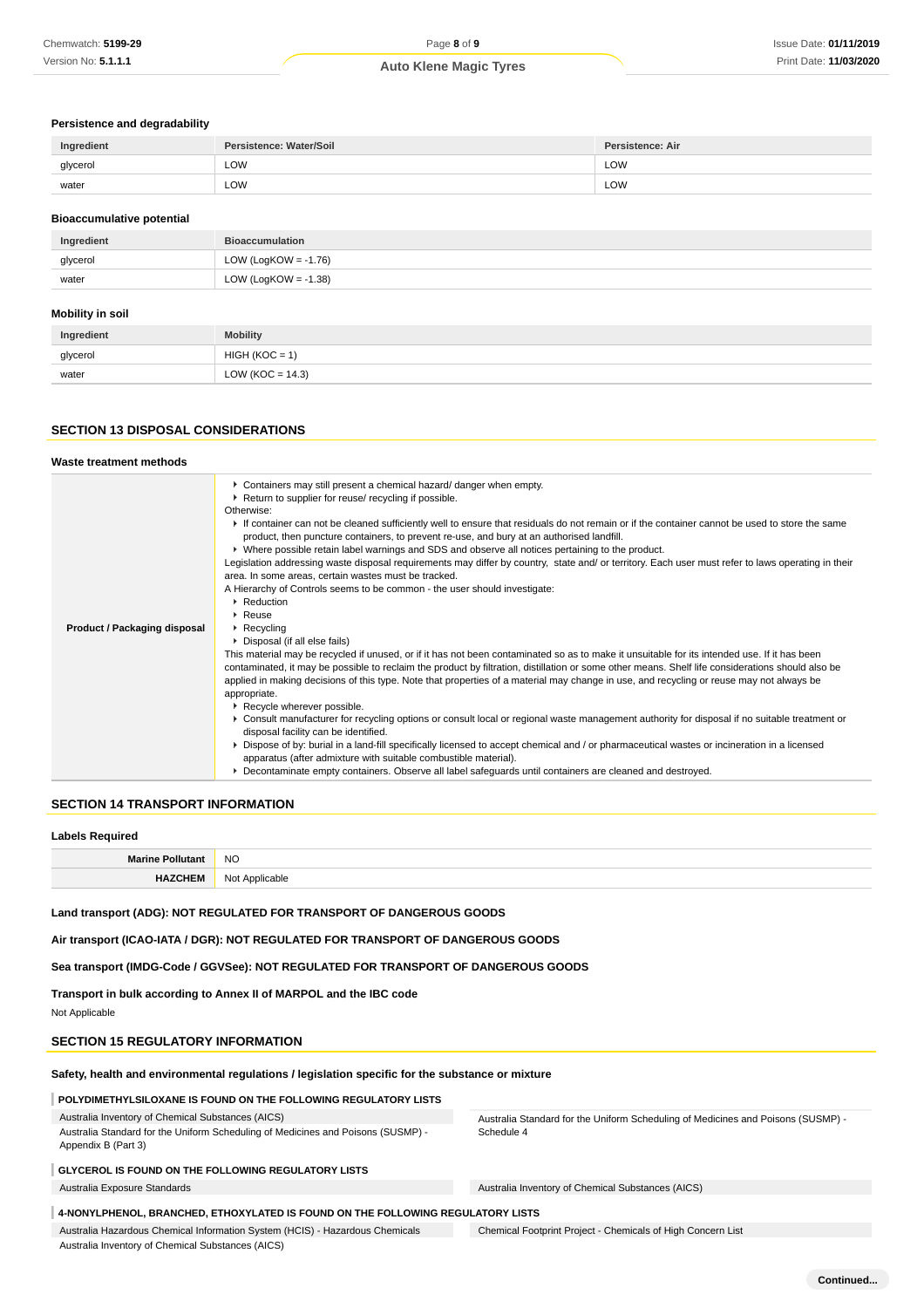# **Persistence and degradability**

| Ingredient | Persistence: Water/Soil | <b>Persistence: Air</b> |
|------------|-------------------------|-------------------------|
| glycerol   | LOW                     | LOW                     |
| water      | LOW<br>$\sim$ $\sim$    | LOW                     |

#### **Bioaccumulative potential**

| Ingredient | <b>Bioaccumulation</b>  |
|------------|-------------------------|
| glycerol   | LOW (LogKOW = $-1.76$ ) |
| water      | LOW (LogKOW = $-1.38$ ) |

# **Mobility in soil**

| Ingredient | <b>Mobility</b>      |
|------------|----------------------|
| glycerol   | $HIGH (KOC = 1)$     |
| water      | LOW ( $KOC = 14.3$ ) |

#### **SECTION 13 DISPOSAL CONSIDERATIONS**

| Waste treatment methods      |                                                                                                                                                                                                                                                                                                                                                                                                                                                                                                                                                                                                                                                                                                                                                                                                                                                                                                                                                                                                                                                                                       |
|------------------------------|---------------------------------------------------------------------------------------------------------------------------------------------------------------------------------------------------------------------------------------------------------------------------------------------------------------------------------------------------------------------------------------------------------------------------------------------------------------------------------------------------------------------------------------------------------------------------------------------------------------------------------------------------------------------------------------------------------------------------------------------------------------------------------------------------------------------------------------------------------------------------------------------------------------------------------------------------------------------------------------------------------------------------------------------------------------------------------------|
|                              | Containers may still present a chemical hazard/ danger when empty.<br>▶ Return to supplier for reuse/ recycling if possible.<br>Otherwise:<br>If container can not be cleaned sufficiently well to ensure that residuals do not remain or if the container cannot be used to store the same<br>product, then puncture containers, to prevent re-use, and bury at an authorised landfill.<br>► Where possible retain label warnings and SDS and observe all notices pertaining to the product.<br>Legislation addressing waste disposal requirements may differ by country, state and/ or territory. Each user must refer to laws operating in their<br>area. In some areas, certain wastes must be tracked.<br>A Hierarchy of Controls seems to be common - the user should investigate:<br>$\blacktriangleright$ Reduction<br>$\blacktriangleright$ Reuse                                                                                                                                                                                                                            |
| Product / Packaging disposal | $\triangleright$ Recycling<br>• Disposal (if all else fails)<br>This material may be recycled if unused, or if it has not been contaminated so as to make it unsuitable for its intended use. If it has been<br>contaminated, it may be possible to reclaim the product by filtration, distillation or some other means. Shelf life considerations should also be<br>applied in making decisions of this type. Note that properties of a material may change in use, and recycling or reuse may not always be<br>appropriate.<br>Recycle wherever possible.<br>▶ Consult manufacturer for recycling options or consult local or regional waste management authority for disposal if no suitable treatment or<br>disposal facility can be identified.<br>▶ Dispose of by: burial in a land-fill specifically licensed to accept chemical and / or pharmaceutical wastes or incineration in a licensed<br>apparatus (after admixture with suitable combustible material).<br>▶ Decontaminate empty containers. Observe all label safeguards until containers are cleaned and destroyed. |

#### **SECTION 14 TRANSPORT INFORMATION**

#### **Labels Required**

|    | <b>NO</b><br>$\sim$ |
|----|---------------------|
| uл | N٥<br>nhin          |

Schedule 4

**Land transport (ADG): NOT REGULATED FOR TRANSPORT OF DANGEROUS GOODS**

**Air transport (ICAO-IATA / DGR): NOT REGULATED FOR TRANSPORT OF DANGEROUS GOODS**

**Sea transport (IMDG-Code / GGVSee): NOT REGULATED FOR TRANSPORT OF DANGEROUS GOODS**

#### **Transport in bulk according to Annex II of MARPOL and the IBC code**

Not Applicable

#### **SECTION 15 REGULATORY INFORMATION**

#### **Safety, health and environmental regulations / legislation specific for the substance or mixture**

# **POLYDIMETHYLSILOXANE IS FOUND ON THE FOLLOWING REGULATORY LISTS**

Australia Inventory of Chemical Substances (AICS)

Australia Standard for the Uniform Scheduling of Medicines and Poisons (SUSMP) - Appendix B (Part 3)

### **GLYCEROL IS FOUND ON THE FOLLOWING REGULATORY LISTS**

Australia Exposure Standards Australia Inventory of Chemical Substances (AICS)

#### **4-NONYLPHENOL, BRANCHED, ETHOXYLATED IS FOUND ON THE FOLLOWING REGULATORY LISTS**

Australia Hazardous Chemical Information System (HCIS) - Hazardous Chemicals Australia Inventory of Chemical Substances (AICS)

Chemical Footprint Project - Chemicals of High Concern List

Australia Standard for the Uniform Scheduling of Medicines and Poisons (SUSMP) -